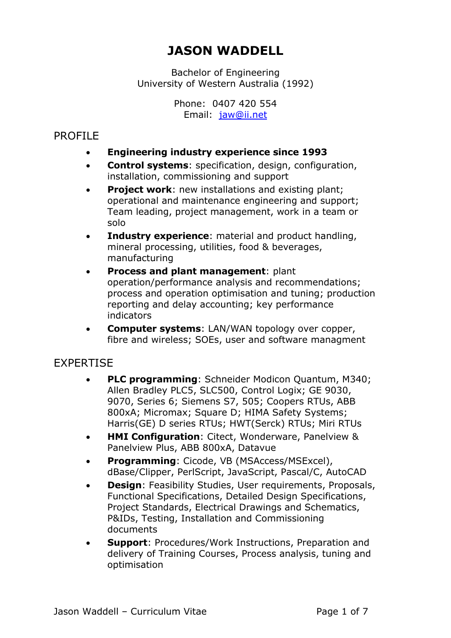# **JASON WADDELL**

Bachelor of Engineering University of Western Australia (1992)

> Phone: 0407 420 554 Email: jaw@ii.net

## PROFILE

- **Engineering industry experience since 1993**
- **Control systems**: specification, design, configuration, installation, commissioning and support
- **Project work:** new installations and existing plant; operational and maintenance engineering and support; Team leading, project management, work in a team or solo
- **Industry experience**: material and product handling, mineral processing, utilities, food & beverages, manufacturing
- **Process and plant management**: plant operation/performance analysis and recommendations; process and operation optimisation and tuning; production reporting and delay accounting; key performance indicators
- **Computer systems**: LAN/WAN topology over copper, fibre and wireless; SOEs, user and software managment

# EXPERTISE

- **PLC programming**: Schneider Modicon Quantum, M340; Allen Bradley PLC5, SLC500, Control Logix; GE 9030, 9070, Series 6; Siemens S7, 505; Coopers RTUs, ABB 800xA; Micromax; Square D; HIMA Safety Systems; Harris(GE) D series RTUs; HWT(Serck) RTUs; Miri RTUs
- **HMI Configuration**: Citect, Wonderware, Panelview & Panelview Plus, ABB 800xA, Datavue
- **Programming**: Cicode, VB (MSAccess/MSExcel), dBase/Clipper, PerlScript, JavaScript, Pascal/C, AutoCAD
- **Design**: Feasibility Studies, User requirements, Proposals, Functional Specifications, Detailed Design Specifications, Project Standards, Electrical Drawings and Schematics, P&IDs, Testing, Installation and Commissioning documents
- **Support**: Procedures/Work Instructions, Preparation and delivery of Training Courses, Process analysis, tuning and optimisation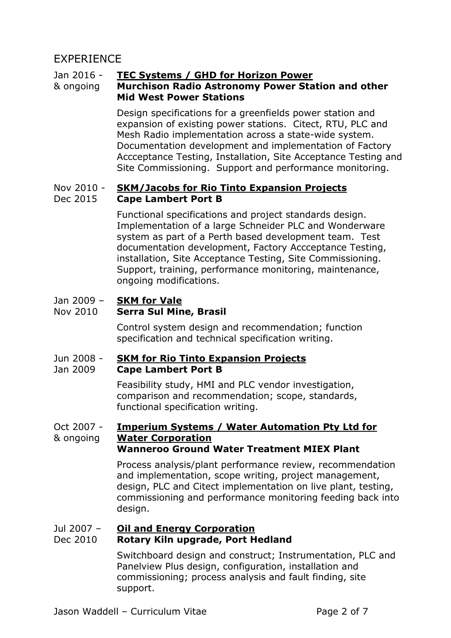# EXPERIENCE

## Jan 2016 - **TEC Systems / GHD for Horizon Power**

## & ongoing **Murchison Radio Astronomy Power Station and other Mid West Power Stations**

Design specifications for a greenfields power station and expansion of existing power stations. Citect, RTU, PLC and Mesh Radio implementation across a state-wide system. Documentation development and implementation of Factory Accceptance Testing, Installation, Site Acceptance Testing and Site Commissioning. Support and performance monitoring.

### Nov 2010 - Dec 2015 **SKM/Jacobs for Rio Tinto Expansion Projects Cape Lambert Port B**

Functional specifications and project standards design. Implementation of a large Schneider PLC and Wonderware system as part of a Perth based development team. Test documentation development, Factory Accceptance Testing, installation, Site Acceptance Testing, Site Commissioning. Support, training, performance monitoring, maintenance, ongoing modifications.

## Jan 2009 – **SKM for Vale**

## Nov 2010 **Serra Sul Mine, Brasil**

Control system design and recommendation; function specification and technical specification writing.

## Jun 2008 - **SKM for Rio Tinto Expansion Projects**

### Jan 2009 **Cape Lambert Port B**

Feasibility study, HMI and PLC vendor investigation, comparison and recommendation; scope, standards, functional specification writing.

## Oct 2007 - & ongoing **Imperium Systems / Water Automation Pty Ltd for Water Corporation Wanneroo Ground Water Treatment MIEX Plant**

Process analysis/plant performance review, recommendation and implementation, scope writing, project management, design, PLC and Citect implementation on live plant, testing, commissioning and performance monitoring feeding back into design.

### Jul 2007 – **Oil and Energy Corporation**

## Dec 2010 **Rotary Kiln upgrade, Port Hedland**

Switchboard design and construct; Instrumentation, PLC and Panelview Plus design, configuration, installation and commissioning; process analysis and fault finding, site support.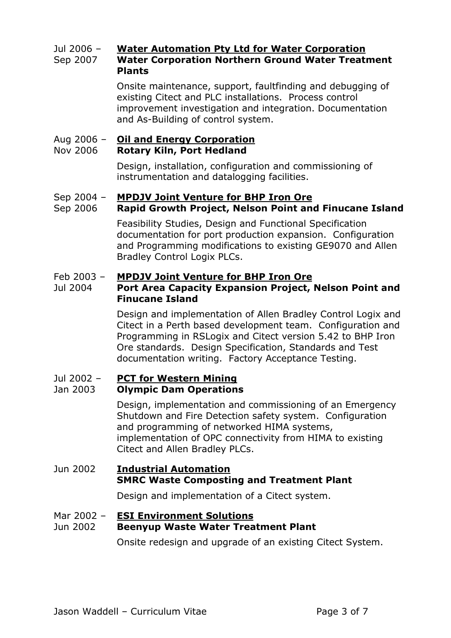## Jul 2006 – Sep 2007 **Water Automation Pty Ltd for Water Corporation Water Corporation Northern Ground Water Treatment Plants**

Onsite maintenance, support, faultfinding and debugging of existing Citect and PLC installations. Process control improvement investigation and integration. Documentation and As-Building of control system.

## Aug 2006 – **Oil and Energy Corporation**

### Nov 2006 **Rotary Kiln, Port Hedland**

Design, installation, configuration and commissioning of instrumentation and datalogging facilities.

## Sep 2004 – **MPDJV Joint Venture for BHP Iron Ore**

## Sep 2006 **Rapid Growth Project, Nelson Point and Finucane Island**

Feasibility Studies, Design and Functional Specification documentation for port production expansion. Configuration and Programming modifications to existing GE9070 and Allen Bradley Control Logix PLCs.

## Feb 2003 – **MPDJV Joint Venture for BHP Iron Ore**

## Jul 2004 **Port Area Capacity Expansion Project, Nelson Point and Finucane Island**

Design and implementation of Allen Bradley Control Logix and Citect in a Perth based development team. Configuration and Programming in RSLogix and Citect version 5.42 to BHP Iron Ore standards. Design Specification, Standards and Test documentation writing. Factory Acceptance Testing.

### Jul 2002 – Jan 2003 **PCT for Western Mining Olympic Dam Operations**

Design, implementation and commissioning of an Emergency Shutdown and Fire Detection safety system. Configuration and programming of networked HIMA systems, implementation of OPC connectivity from HIMA to existing Citect and Allen Bradley PLCs.

# Jun 2002 **Industrial Automation SMRC Waste Composting and Treatment Plant**

Design and implementation of a Citect system.

## Mar 2002 – **ESI Environment Solutions**

## Jun 2002 **Beenyup Waste Water Treatment Plant**

Onsite redesign and upgrade of an existing Citect System.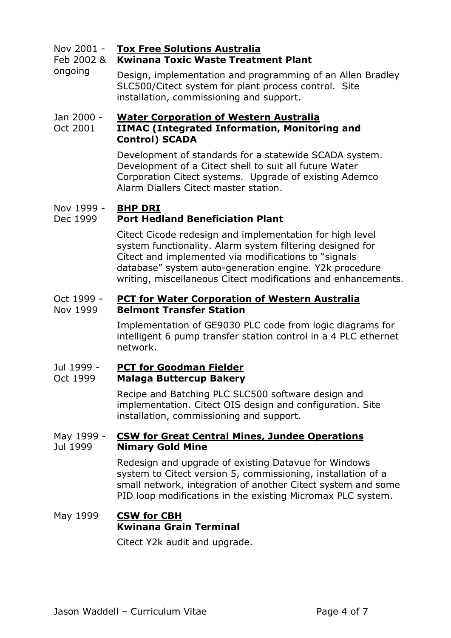Nov 2001 - **Tox Free Solutions Australia**

### Feb 2002 & **Kwinana Toxic Waste Treatment Plant**

ongoing Design, implementation and programming of an Allen Bradley SLC500/Citect system for plant process control. Site installation, commissioning and support.

## Jan 2000 - **Water Corporation of Western Australia**

## Oct 2001 **IIMAC (Integrated Information, Monitoring and Control) SCADA**

Development of standards for a statewide SCADA system. Development of a Citect shell to suit all future Water Corporation Citect systems. Upgrade of existing Ademco Alarm Diallers Citect master station.

## Nov 1999 - **BHP DRI**

## Dec 1999 **Port Hedland Beneficiation Plant**

Citect Cicode redesign and implementation for high level system functionality. Alarm system filtering designed for Citect and implemented via modifications to "signals database" system auto-generation engine. Y2k procedure writing, miscellaneous Citect modifications and enhancements.

#### Oct 1999 - Nov 1999 **PCT for Water Corporation of Western Australia Belmont Transfer Station**

Implementation of GE9030 PLC code from logic diagrams for intelligent 6 pump transfer station control in a 4 PLC ethernet network.

#### Jul 1999 - Oct 1999 **PCT for Goodman Fielder Malaga Buttercup Bakery**

Recipe and Batching PLC SLC500 software design and implementation. Citect OIS design and configuration. Site installation, commissioning and support.

### May 1999 - Jul 1999 **CSW for Great Central Mines, Jundee Operations Nimary Gold Mine**

Redesign and upgrade of existing Datavue for Windows system to Citect version 5, commissioning, installation of a small network, integration of another Citect system and some PID loop modifications in the existing Micromax PLC system.

# May 1999 **CSW for CBH Kwinana Grain Terminal**

Citect Y2k audit and upgrade.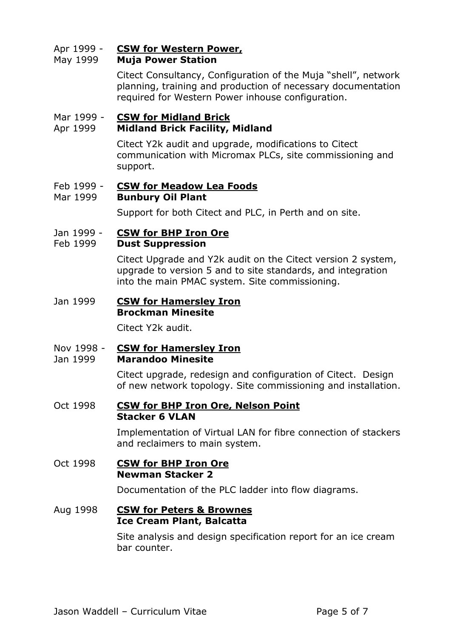## Apr 1999 - **CSW for Western Power,**

## May 1999 **Muja Power Station**

Citect Consultancy, Configuration of the Muja "shell", network planning, training and production of necessary documentation required for Western Power inhouse configuration.

## Mar 1999 - **CSW for Midland Brick**

## Apr 1999 **Midland Brick Facility, Midland**

Citect Y2k audit and upgrade, modifications to Citect communication with Micromax PLCs, site commissioning and support.

## Feb 1999 - **CSW for Meadow Lea Foods**

## Mar 1999 **Bunbury Oil Plant**

Support for both Citect and PLC, in Perth and on site.

## Jan 1999 - **CSW for BHP Iron Ore**

### Feb 1999 **Dust Suppression**

Citect Upgrade and Y2k audit on the Citect version 2 system, upgrade to version 5 and to site standards, and integration into the main PMAC system. Site commissioning.

## Jan 1999 **CSW for Hamersley Iron Brockman Minesite**

Citect Y2k audit.

## Nov 1998 - **CSW for Hamersley Iron**

## Jan 1999 **Marandoo Minesite**

Citect upgrade, redesign and configuration of Citect. Design of new network topology. Site commissioning and installation.

## Oct 1998 **CSW for BHP Iron Ore, Nelson Point Stacker 6 VLAN**

Implementation of Virtual LAN for fibre connection of stackers and reclaimers to main system.

## Oct 1998 **CSW for BHP Iron Ore Newman Stacker 2**

Documentation of the PLC ladder into flow diagrams.

## Aug 1998 **CSW for Peters & Brownes Ice Cream Plant, Balcatta**

Site analysis and design specification report for an ice cream bar counter.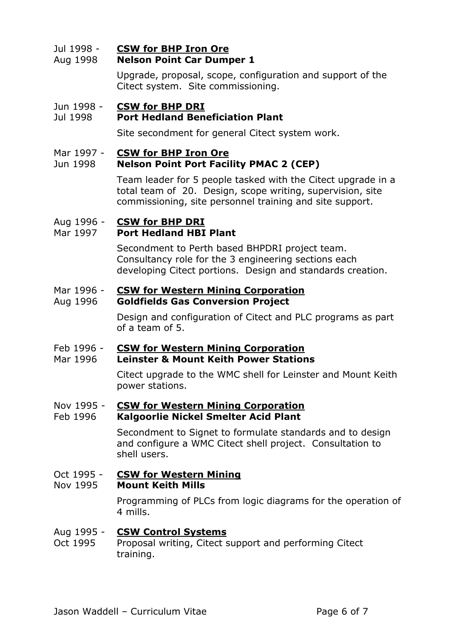#### Jul 1998 - Aug 1998 **CSW for BHP Iron Ore Nelson Point Car Dumper 1**

Upgrade, proposal, scope, configuration and support of the Citect system. Site commissioning.

## Jun 1998 - **CSW for BHP DRI**

## Jul 1998 **Port Hedland Beneficiation Plant**

Site secondment for general Citect system work.

### Mar 1997 - **CSW for BHP Iron Ore**

## Jun 1998 **Nelson Point Port Facility PMAC 2 (CEP)**

Team leader for 5 people tasked with the Citect upgrade in a total team of 20. Design, scope writing, supervision, site commissioning, site personnel training and site support.

## Aug 1996 - **CSW for BHP DRI**

## Mar 1997 **Port Hedland HBI Plant**

Secondment to Perth based BHPDRI project team. Consultancy role for the 3 engineering sections each developing Citect portions. Design and standards creation.

## Mar 1996 - **CSW for Western Mining Corporation**

### Aug 1996 **Goldfields Gas Conversion Project**

Design and configuration of Citect and PLC programs as part of a team of 5.

### Feb 1996 - **CSW for Western Mining Corporation**

### Mar 1996 **Leinster & Mount Keith Power Stations**

Citect upgrade to the WMC shell for Leinster and Mount Keith power stations.

## Nov 1995 - **CSW for Western Mining Corporation**

## Feb 1996 **Kalgoorlie Nickel Smelter Acid Plant**

Secondment to Signet to formulate standards and to design and configure a WMC Citect shell project. Consultation to shell users.

#### Oct 1995 - Nov 1995 **CSW for Western Mining Mount Keith Mills**

Programming of PLCs from logic diagrams for the operation of 4 mills.

### Aug 1995 - **CSW Control Systems**

Oct 1995 Proposal writing, Citect support and performing Citect training.